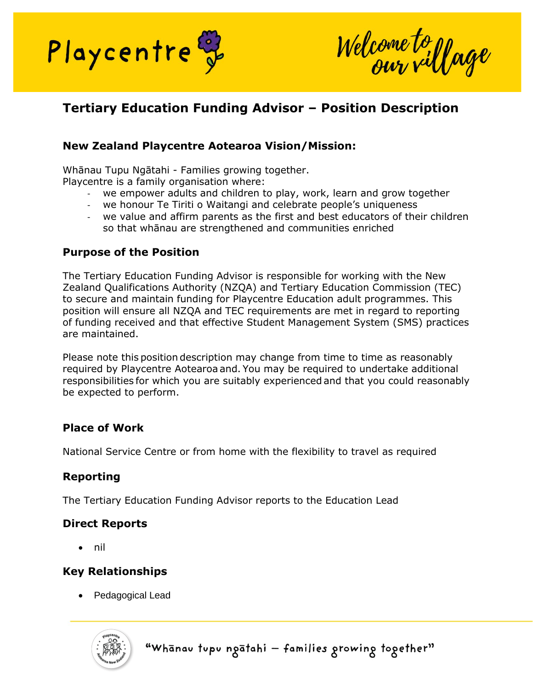

Welcome to yage

# **Tertiary Education Funding Advisor – Position Description**

## **New Zealand Playcentre Aotearoa Vision/Mission:**

Whānau Tupu Ngātahi - Families growing together. Playcentre is a family organisation where:

- we empower adults and children to play, work, learn and grow together
- we honour Te Tiriti o Waitangi and celebrate people's uniqueness
- we value and affirm parents as the first and best educators of their children so that whānau are strengthened and communities enriched

#### **Purpose of the Position**

The Tertiary Education Funding Advisor is responsible for working with the New Zealand Qualifications Authority (NZQA) and Tertiary Education Commission (TEC) to secure and maintain funding for Playcentre Education adult programmes. This position will ensure all NZQA and TEC requirements are met in regard to reporting of funding received and that effective Student Management System (SMS) practices are maintained.

Please note this position description may change from time to time as reasonably required by Playcentre Aotearoa and. You may be required to undertake additional responsibilities for which you are suitably experienced and that you could reasonably be expected to perform. 

### **Place of Work**

National Service Centre or from home with the flexibility to travel as required

## **Reporting**

The Tertiary Education Funding Advisor reports to the Education Lead

### **Direct Reports**

• nil

## **Key Relationships**

• Pedagogical Lead



"Whanav tupu ngatahi - families growing together"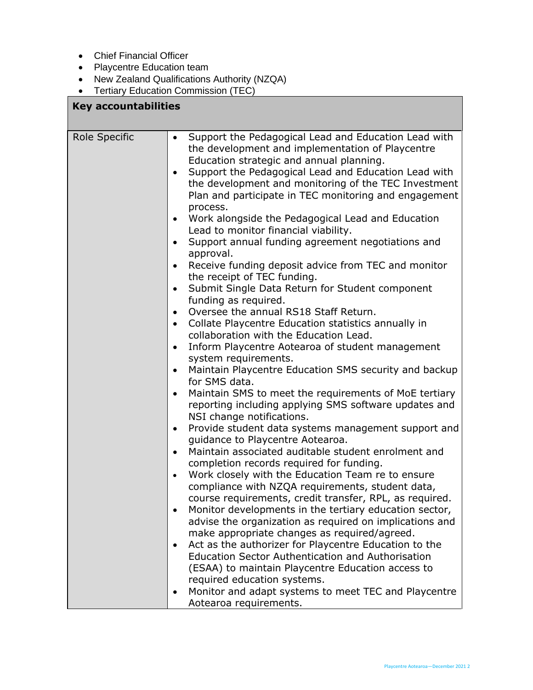• Chief Financial Officer

 $\Gamma$ 

- Playcentre Education team
- New Zealand Qualifications Authority (NZQA)
- Tertiary Education Commission (TEC)

| <b>Key accountabilities</b> |                                                                                                                                                                                                                                                                                                                                                                                                                                                                                                                                                                                                                                                                                                                                                                                                                                                                                                                                                                                                                                                                                                                                                                                                                                                                                                                                                                                                                                                                                                                                                                                                                                                                                                                                                                                                                                                                                                                                                                                                                                                                                                                                                                                 |  |
|-----------------------------|---------------------------------------------------------------------------------------------------------------------------------------------------------------------------------------------------------------------------------------------------------------------------------------------------------------------------------------------------------------------------------------------------------------------------------------------------------------------------------------------------------------------------------------------------------------------------------------------------------------------------------------------------------------------------------------------------------------------------------------------------------------------------------------------------------------------------------------------------------------------------------------------------------------------------------------------------------------------------------------------------------------------------------------------------------------------------------------------------------------------------------------------------------------------------------------------------------------------------------------------------------------------------------------------------------------------------------------------------------------------------------------------------------------------------------------------------------------------------------------------------------------------------------------------------------------------------------------------------------------------------------------------------------------------------------------------------------------------------------------------------------------------------------------------------------------------------------------------------------------------------------------------------------------------------------------------------------------------------------------------------------------------------------------------------------------------------------------------------------------------------------------------------------------------------------|--|
| Role Specific               | Support the Pedagogical Lead and Education Lead with<br>$\bullet$<br>the development and implementation of Playcentre<br>Education strategic and annual planning.<br>Support the Pedagogical Lead and Education Lead with<br>$\bullet$<br>the development and monitoring of the TEC Investment<br>Plan and participate in TEC monitoring and engagement<br>process.<br>Work alongside the Pedagogical Lead and Education<br>$\bullet$<br>Lead to monitor financial viability.<br>Support annual funding agreement negotiations and<br>$\bullet$<br>approval.<br>Receive funding deposit advice from TEC and monitor<br>$\bullet$<br>the receipt of TEC funding.<br>Submit Single Data Return for Student component<br>$\bullet$<br>funding as required.<br>Oversee the annual RS18 Staff Return.<br>$\bullet$<br>Collate Playcentre Education statistics annually in<br>$\bullet$<br>collaboration with the Education Lead.<br>Inform Playcentre Aotearoa of student management<br>$\bullet$<br>system requirements.<br>Maintain Playcentre Education SMS security and backup<br>$\bullet$<br>for SMS data.<br>Maintain SMS to meet the requirements of MoE tertiary<br>$\bullet$<br>reporting including applying SMS software updates and<br>NSI change notifications.<br>Provide student data systems management support and<br>$\bullet$<br>guidance to Playcentre Aotearoa.<br>Maintain associated auditable student enrolment and<br>$\bullet$<br>completion records required for funding.<br>Work closely with the Education Team re to ensure<br>$\bullet$<br>compliance with NZQA requirements, student data,<br>course requirements, credit transfer, RPL, as required.<br>Monitor developments in the tertiary education sector,<br>$\bullet$<br>advise the organization as required on implications and<br>make appropriate changes as required/agreed.<br>Act as the authorizer for Playcentre Education to the<br>$\bullet$<br><b>Education Sector Authentication and Authorisation</b><br>(ESAA) to maintain Playcentre Education access to<br>required education systems.<br>Monitor and adapt systems to meet TEC and Playcentre<br>٠<br>Aotearoa requirements. |  |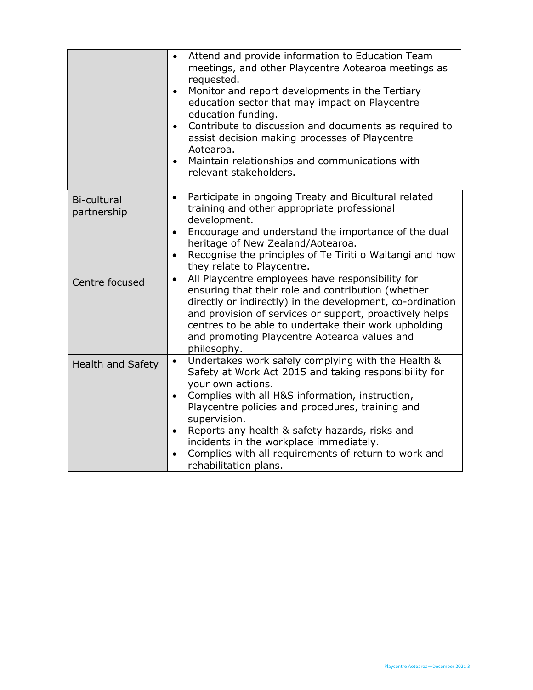|                                   | Attend and provide information to Education Team<br>$\bullet$<br>meetings, and other Playcentre Aotearoa meetings as<br>requested.<br>Monitor and report developments in the Tertiary<br>$\bullet$<br>education sector that may impact on Playcentre<br>education funding.<br>Contribute to discussion and documents as required to<br>$\bullet$<br>assist decision making processes of Playcentre<br>Aotearoa.<br>Maintain relationships and communications with<br>$\bullet$<br>relevant stakeholders. |
|-----------------------------------|----------------------------------------------------------------------------------------------------------------------------------------------------------------------------------------------------------------------------------------------------------------------------------------------------------------------------------------------------------------------------------------------------------------------------------------------------------------------------------------------------------|
| <b>Bi-cultural</b><br>partnership | Participate in ongoing Treaty and Bicultural related<br>$\bullet$<br>training and other appropriate professional<br>development.<br>Encourage and understand the importance of the dual<br>$\bullet$<br>heritage of New Zealand/Aotearoa.<br>Recognise the principles of Te Tiriti o Waitangi and how<br>$\bullet$<br>they relate to Playcentre.                                                                                                                                                         |
| Centre focused                    | All Playcentre employees have responsibility for<br>$\bullet$<br>ensuring that their role and contribution (whether<br>directly or indirectly) in the development, co-ordination<br>and provision of services or support, proactively helps<br>centres to be able to undertake their work upholding<br>and promoting Playcentre Aotearoa values and<br>philosophy.                                                                                                                                       |
| <b>Health and Safety</b>          | Undertakes work safely complying with the Health &<br>$\bullet$<br>Safety at Work Act 2015 and taking responsibility for<br>your own actions.<br>Complies with all H&S information, instruction,<br>$\bullet$<br>Playcentre policies and procedures, training and<br>supervision.<br>Reports any health & safety hazards, risks and<br>$\bullet$<br>incidents in the workplace immediately.<br>Complies with all requirements of return to work and<br>rehabilitation plans.                             |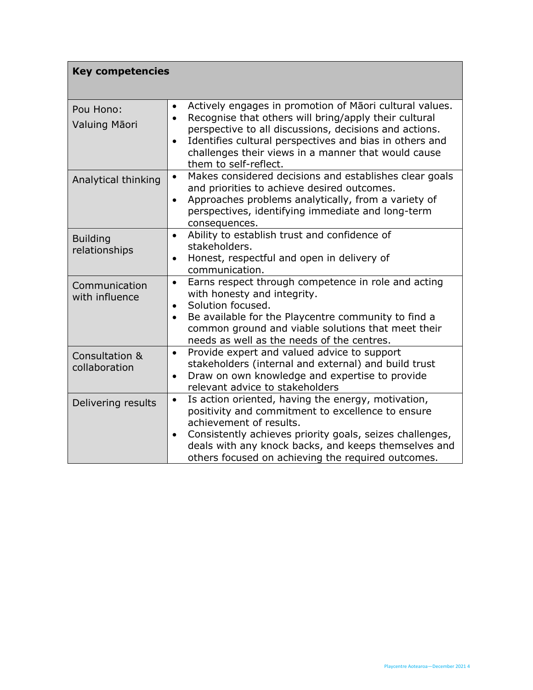| <b>Key competencies</b>          |                                                                                                                                                                                                                                                                                                                                                              |  |
|----------------------------------|--------------------------------------------------------------------------------------------------------------------------------------------------------------------------------------------------------------------------------------------------------------------------------------------------------------------------------------------------------------|--|
| Pou Hono:<br>Valuing Māori       | Actively engages in promotion of Māori cultural values.<br>$\bullet$<br>Recognise that others will bring/apply their cultural<br>$\bullet$<br>perspective to all discussions, decisions and actions.<br>Identifies cultural perspectives and bias in others and<br>$\bullet$<br>challenges their views in a manner that would cause<br>them to self-reflect. |  |
| Analytical thinking              | Makes considered decisions and establishes clear goals<br>$\bullet$<br>and priorities to achieve desired outcomes.<br>Approaches problems analytically, from a variety of<br>$\bullet$<br>perspectives, identifying immediate and long-term<br>consequences.                                                                                                 |  |
| <b>Building</b><br>relationships | Ability to establish trust and confidence of<br>$\bullet$<br>stakeholders.<br>Honest, respectful and open in delivery of<br>$\bullet$<br>communication.                                                                                                                                                                                                      |  |
| Communication<br>with influence  | Earns respect through competence in role and acting<br>$\bullet$<br>with honesty and integrity.<br>Solution focused.<br>$\bullet$<br>Be available for the Playcentre community to find a<br>common ground and viable solutions that meet their<br>needs as well as the needs of the centres.                                                                 |  |
| Consultation &<br>collaboration  | Provide expert and valued advice to support<br>$\bullet$<br>stakeholders (internal and external) and build trust<br>Draw on own knowledge and expertise to provide<br>$\bullet$<br>relevant advice to stakeholders                                                                                                                                           |  |
| Delivering results               | Is action oriented, having the energy, motivation,<br>$\bullet$<br>positivity and commitment to excellence to ensure<br>achievement of results.<br>Consistently achieves priority goals, seizes challenges,<br>$\bullet$<br>deals with any knock backs, and keeps themselves and<br>others focused on achieving the required outcomes.                       |  |